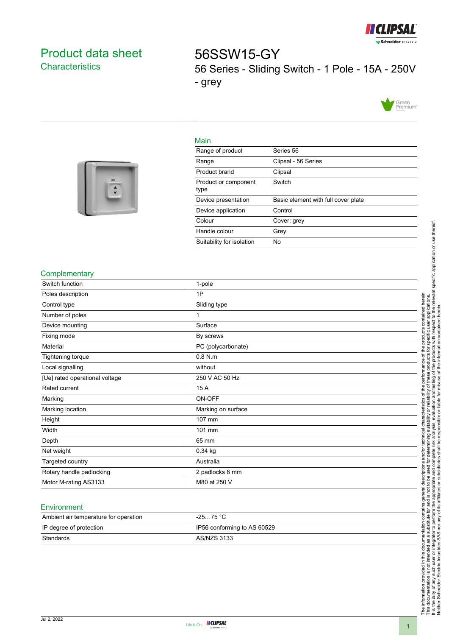

# <span id="page-0-0"></span>Product data sheet **Characteristics**

56SSW15-GY 56 Series - Sliding Switch - 1 Pole - 15A - 250V - grey



### Main



| Range of product             | Series 56                           |
|------------------------------|-------------------------------------|
| Range                        | Clipsal - 56 Series                 |
| Product brand                | Clipsal                             |
| Product or component<br>type | Switch                              |
| Device presentation          | Basic element with full cover plate |
| Device application           | Control                             |
| Colour                       | Cover: grey                         |
| Handle colour                | Grey                                |
| Suitability for isolation    | No                                  |

## **Complementary**

| Switch function                | 1-pole             |
|--------------------------------|--------------------|
| Poles description              | 1P                 |
| Control type                   | Sliding type       |
| Number of poles                |                    |
| Device mounting                | Surface            |
| Fixing mode                    | By screws          |
| Material                       | PC (polycarbonate) |
| Tightening torque              | $0.8$ N.m          |
| Local signalling               | without            |
| [Ue] rated operational voltage | 250 V AC 50 Hz     |
| Rated current                  | 15 A               |
| Marking                        | ON-OFF             |
| Marking location               | Marking on surface |
| Height                         | 107 mm             |
| Width                          | 101 mm             |
| Depth                          | 65 mm              |
| Net weight                     | $0.34$ kg          |
| Targeted country               | Australia          |
| Rotary handle padlocking       | 2 padlocks 8 mm    |
| Motor M-rating AS3133          | M80 at 250 V       |
|                                |                    |

#### **Environment**

| Ambient air temperature for operation | $-2575 °C$                  |
|---------------------------------------|-----------------------------|
| IP degree of protection               | IP56 conforming to AS 60529 |
| Standards                             | AS/NZS 3133                 |